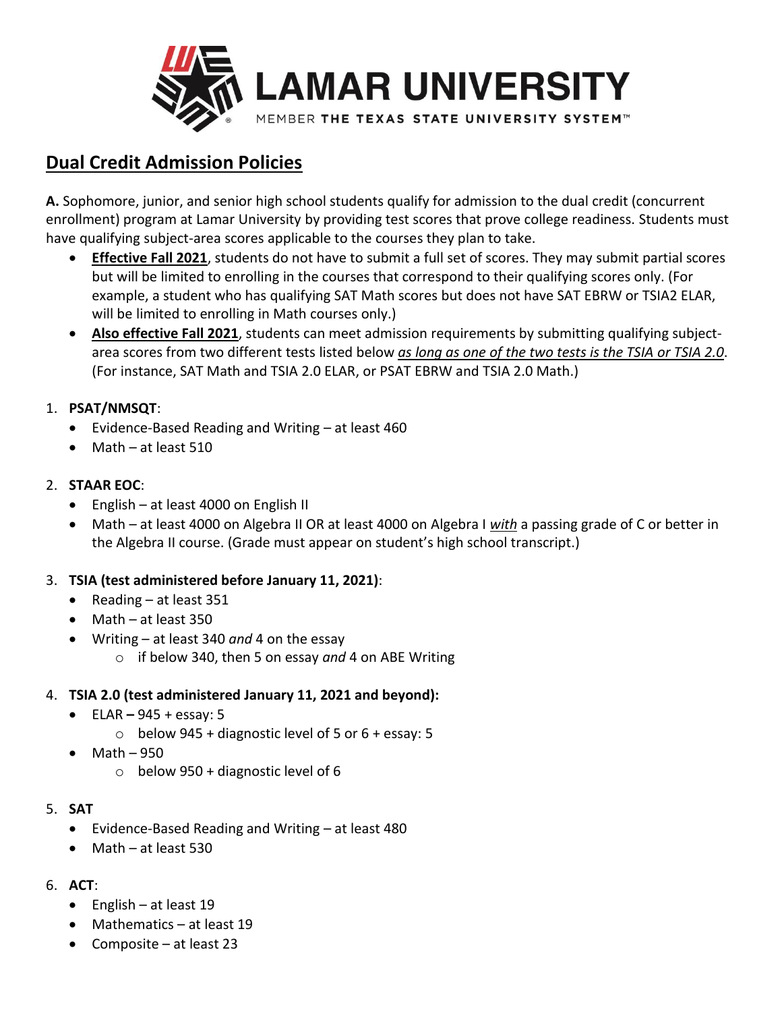

# **Dual Credit Admission Policies**

**A.** Sophomore, junior, and senior high school students qualify for admission to the dual credit (concurrent enrollment) program at Lamar University by providing test scores that prove college readiness. Students must have qualifying subject-area scores applicable to the courses they plan to take.

- **Effective Fall 2021**, students do not have to submit a full set of scores. They may submit partial scores but will be limited to enrolling in the courses that correspond to their qualifying scores only. (For example, a student who has qualifying SAT Math scores but does not have SAT EBRW or TSIA2 ELAR, will be limited to enrolling in Math courses only.)
- **Also effective Fall 2021**, students can meet admission requirements by submitting qualifying subjectarea scores from two different tests listed below *as long as one of the two tests is the TSIA or TSIA 2.0*. (For instance, SAT Math and TSIA 2.0 ELAR, or PSAT EBRW and TSIA 2.0 Math.)

## 1. **PSAT/NMSQT**:

- Evidence-Based Reading and Writing at least 460
- Math at least 510

## 2. **STAAR EOC**:

- English at least 4000 on English II
- Math at least 4000 on Algebra II OR at least 4000 on Algebra I *with* a passing grade of C or better in the Algebra II course. (Grade must appear on student's high school transcript.)

# 3. **TSIA (test administered before January 11, 2021)**:

- Reading at least 351
- Math at least 350
- Writing at least 340 *and* 4 on the essay
	- o if below 340, then 5 on essay *and* 4 on ABE Writing

#### 4. **TSIA 2.0 (test administered January 11, 2021 and beyond):**

- ELAR **–** 945 + essay: 5
	- $\circ$  below 945 + diagnostic level of 5 or 6 + essay: 5
- Math 950
	- $\circ$  below 950 + diagnostic level of 6

#### 5. **SAT**

- Evidence-Based Reading and Writing at least 480
- Math at least 530

# 6. **ACT**:

- English at least 19
- Mathematics at least 19
- Composite at least 23